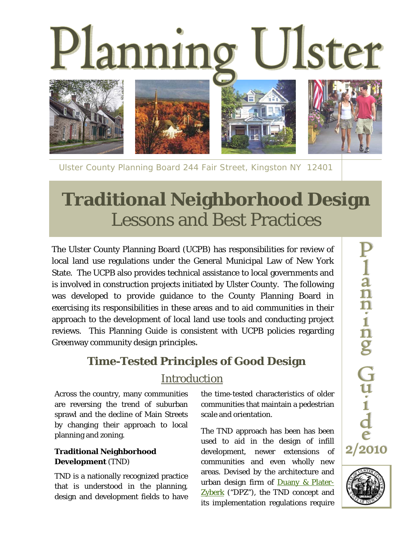

Ulster County Planning Board 244 Fair Street, Kingston NY 12401

# **Traditional Neighborhood Design**  Lessons and Best Practices

The Ulster County Planning Board (UCPB) has responsibilities for review of local land use regulations under the General Municipal Law of New York State. The UCPB also provides technical assistance to local governments and is involved in construction projects initiated by Ulster County. The following was developed to provide guidance to the County Planning Board in exercising its responsibilities in these areas and to aid communities in their approach to the development of local land use tools and conducting project reviews. This Planning Guide is consistent with UCPB policies regarding Greenway community design principles**.** 

## **Time-Tested Principles of Good Design**

### Introduction

Across the country, many communities are reversing the trend of suburban sprawl and the decline of Main Streets by changing their approach to local planning and zoning.

#### **Traditional Neighborhood Development** (TND)

TND is a nationally recognized practice that is understood in the planning, design and development fields to have the time-tested characteristics of older communities that maintain a pedestrian scale and orientation.

The TND approach has been has been used to aid in the design of infill development, newer extensions of communities and even wholly new areas. Devised by the architecture and urban design firm of **Duany & Plater-**Zyberk ("DPZ"), the TND concept and its implementation regulations require

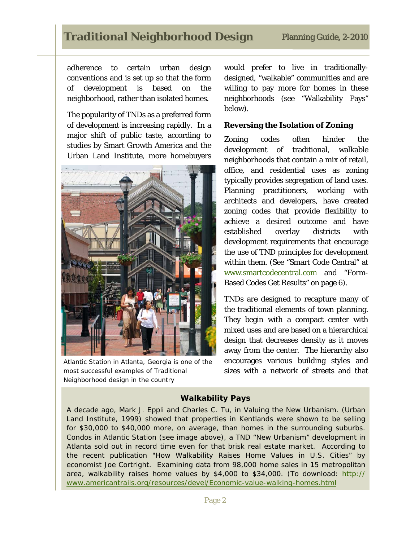## **Traditional Neighborhood Design**

adherence to certain urban design conventions and is set up so that the form of development is based on the neighborhood, rather than isolated homes.

The popularity of TNDs as a preferred form of development is increasing rapidly. In a major shift of public taste, according to studies by Smart Growth America and the Urban Land Institute, more homebuyers



*Atlantic Station in Atlanta, Georgia is one of the most successful examples of Traditional Neighborhood design in the country* 

would prefer to live in traditionallydesigned, "walkable" communities and are willing to pay more for homes in these neighborhoods (see "Walkability Pays" below).

#### **Reversing the Isolation of Zoning**

Zoning codes often hinder the development of traditional, walkable neighborhoods that contain a mix of retail, office, and residential uses as zoning typically provides segregation of land uses. Planning practitioners, working with architects and developers, have created zoning codes that provide flexibility to achieve a desired outcome and have established overlay districts with development requirements that encourage the use of TND principles for development within them. (See "Smart Code Central" at www.smartcodecentral.com and "Form-Based Codes Get Results" on page 6).

TNDs are designed to recapture many of the traditional elements of town planning. They begin with a compact center with mixed uses and are based on a hierarchical design that decreases density as it moves away from the center. The hierarchy also encourages various building styles and sizes with a network of streets and that

#### **Walkability Pays**

A decade ago, Mark J. Eppli and Charles C. Tu, in *Valuing the New Urbanism*. (Urban Land Institute, 1999) showed that properties in Kentlands were shown to be selling for \$30,000 to \$40,000 more, on average, than homes in the surrounding suburbs. Condos in Atlantic Station (see image above), a TND "New Urbanism" development in Atlanta sold out in record time even for that brisk real estate market. According to the recent publication "How Walkability Raises Home Values in U.S. Cities" by economist Joe Cortright. Examining data from 98,000 home sales in 15 metropolitan area, walkability raises home values by  $$4,000$  to  $$34,000$ . (To download: http:// www.americantrails.org/resources/devel/Economic-value-walking-homes.html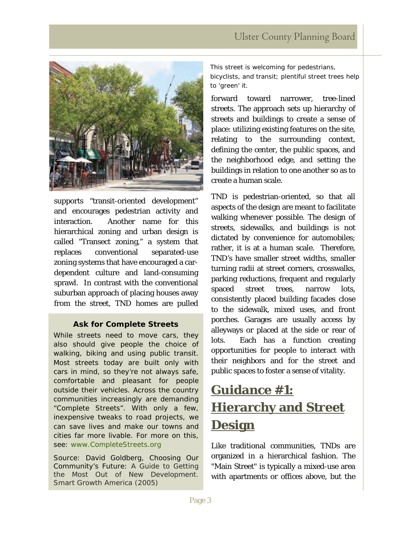

supports "transit-oriented development" and encourages pedestrian activity and interaction. Another name for this hierarchical zoning and urban design is called "Transect zoning," a system that replaces conventional separated-use zoning systems that have encouraged a cardependent culture and land-consuming sprawl. In contrast with the conventional suburban approach of placing houses away from the street, TND homes are pulled

#### **Ask for Complete Streets**

While streets need to move cars, they also should give people the choice of walking, biking and using public transit. Most streets today are built only with cars in mind, so they're not always safe, comfortable and pleasant for people outside their vehicles. Across the country communities increasingly are demanding "Complete Streets". With only a few, inexpensive tweaks to road projects, we can save lives and make our towns and cities far more livable. For more on this, see: www.CompleteStreets.org

Source: David Goldberg, Choosing Our Community's Future: *A Guide to Getting the Most Out of New Development.*  Smart Growth America (2005)

*This street is welcoming for pedestrians, bicyclists, and transit; plentiful street trees help to 'green' it.*

forward toward narrower, tree-lined streets. The approach sets up hierarchy of streets and buildings to create a sense of place: utilizing existing features on the site, relating to the surrounding context, defining the center, the public spaces, and the neighborhood edge, and setting the buildings in relation to one another so as to create a human scale.

TND is pedestrian-oriented, so that all aspects of the design are meant to facilitate walking whenever possible. The design of streets, sidewalks, and buildings is not dictated by convenience for automobiles; rather, it is at a human scale. Therefore, TND's have smaller street widths, smaller turning radii at street corners, crosswalks, parking reductions, frequent and regularly spaced street trees, narrow lots, consistently placed building facades close to the sidewalk, mixed uses, and front porches. Garages are usually access by alleyways or placed at the side or rear of lots. Each has a function creating opportunities for people to interact with their neighbors and for the street and public spaces to foster a sense of vitality.

## **Guidance #1: Hierarchy and Street Design**

Like traditional communities, TNDs are organized in a hierarchical fashion. The "Main Street" is typically a mixed-use area with apartments or offices above, but the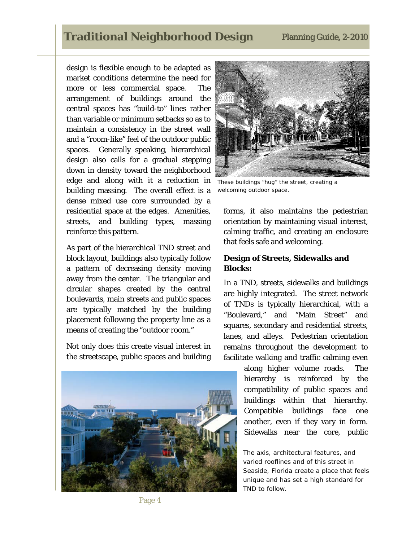### **Traditional Neighborhood Design Planning Guide, 2-2010**

design is flexible enough to be adapted as market conditions determine the need for more or less commercial space. The arrangement of buildings around the central spaces has "build-to" lines rather than variable or minimum setbacks so as to maintain a consistency in the street wall and a "room-like" feel of the outdoor public spaces. Generally speaking, hierarchical design also calls for a gradual stepping down in density toward the neighborhood edge and along with it a reduction in building massing. The overall effect is a dense mixed use core surrounded by a residential space at the edges. Amenities, streets, and building types, massing reinforce this pattern.

As part of the hierarchical TND street and block layout, buildings also typically follow a pattern of decreasing density moving away from the center. The triangular and circular shapes created by the central boulevards, main streets and public spaces are typically matched by the building placement following the property line as a means of creating the "outdoor room."

Not only does this create visual interest in the streetscape, public spaces and building





*These buildings "hug" the street, creating a welcoming outdoor space.*

forms, it also maintains the pedestrian orientation by maintaining visual interest, calming traffic, and creating an enclosure that feels safe and welcoming.

#### **Design of Streets, Sidewalks and Blocks:**

In a TND, streets, sidewalks and buildings are highly integrated. The street network of TNDs is typically hierarchical, with a "Boulevard," and "Main Street" and squares, secondary and residential streets, lanes, and alleys. Pedestrian orientation remains throughout the development to facilitate walking and traffic calming even

> along higher volume roads. The hierarchy is reinforced by the compatibility of public spaces and buildings within that hierarchy. Compatible buildings face one another, even if they vary in form. Sidewalks near the core, public

> *The axis, architectural features, and varied rooflines and of this street in Seaside, Florida create a place that feels unique and has set a high standard for TND to follow.*

Page 4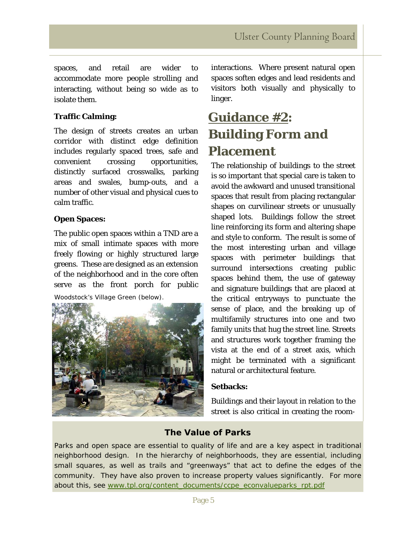spaces, and retail are wider to accommodate more people strolling and interacting, without being so wide as to isolate them.

#### **Traffic Calming:**

The design of streets creates an urban corridor with distinct edge definition includes regularly spaced trees, safe and convenient crossing opportunities, distinctly surfaced crosswalks, parking areas and swales, bump-outs, and a number of other visual and physical cues to calm traffic.

#### **Open Spaces:**

The public open spaces within a TND are a mix of small intimate spaces with more freely flowing or highly structured large greens. These are designed as an extension of the neighborhood and in the core often serve as the front porch for public

*Woodstock's Village Green (below).*



interactions. Where present natural open spaces soften edges and lead residents and visitors both visually and physically to linger.

## **Guidance #2: Building Form and Placement**

The relationship of buildings to the street is so important that special care is taken to avoid the awkward and unused transitional spaces that result from placing rectangular shapes on curvilinear streets or unusually shaped lots. Buildings follow the street line reinforcing its form and altering shape and style to conform. The result is some of the most interesting urban and village spaces with perimeter buildings that surround intersections creating public spaces behind them, the use of gateway and signature buildings that are placed at the critical entryways to punctuate the sense of place, and the breaking up of multifamily structures into one and two family units that hug the street line. Streets and structures work together framing the vista at the end of a street axis, which might be terminated with a significant natural or architectural feature.

#### **Setbacks:**

Buildings and their layout in relation to the street is also critical in creating the room-

### **The Value of Parks**

Parks and open space are essential to quality of life and are a key aspect in traditional neighborhood design. In the hierarchy of neighborhoods, they are essential, including small squares, as well as trails and "greenways" that act to define the edges of the community. They have also proven to increase property values significantly. For more about this, see www.tpl.org/content\_documents/ccpe\_econvalueparks\_rpt.pdf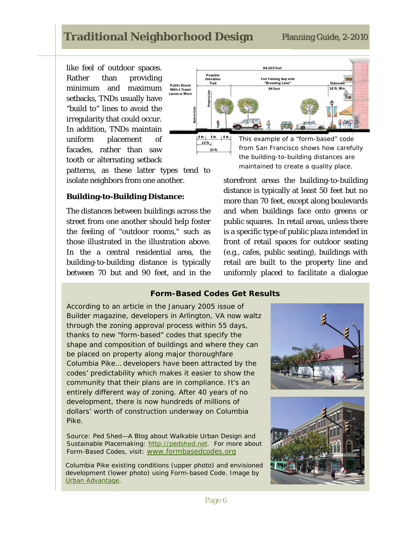### **Traditional Neighborhood Design**

like feel of outdoor spaces. Rather than providing minimum and maximum setbacks, TNDs usually have "build to" lines to avoid the irregularity that could occur. In addition, TNDs maintain uniform placement of facades, rather than saw tooth or alternating setback



patterns, as these latter types tend to isolate neighbors from one another.

#### **Building-to-Building Distance:**

The distances between buildings across the street from one another should help foster the feeling of "outdoor rooms," such as those illustrated in the illustration above. In the a central residential area, the building-to-building distance is typically between 70 but and 90 feet, and in the *the building-to-building distances are maintained to create a quality place.* 

storefront areas the building-to-building distance is typically at least 50 feet but no more than 70 feet, except along boulevards and when buildings face onto greens or public squares. In retail areas, unless there is a specific type of public plaza intended in front of retail spaces for outdoor seating (e.g., cafes, public seating), buildings with retail are built to the property line and uniformly placed to facilitate a dialogue

#### **Form-Based Codes Get Results**

According to an article in the January 2005 issue of Builder magazine, developers in Arlington, VA now waltz through the zoning approval process within 55 days, thanks to new "form-based" codes that specify the shape and composition of buildings and where they can be placed on property along major thoroughfare Columbia Pike… developers have been attracted by the codes' predictability which makes it easier to show the community that their plans are in compliance. It's an entirely different way of zoning. After 40 years of no development, there is now hundreds of millions of dollars' worth of construction underway on Columbia Pike.

Source: Ped Shed—A Blog about Walkable Urban Design and Sustainable Placemaking: http://pedshed.net. For more about Form-Based Codes, visit: www.formbasedcodes.org

*Columbia Pike existing conditions* (upper photo) *and envisioned development (lower photo) using Form-based Code. Image by Urban Advantage.*

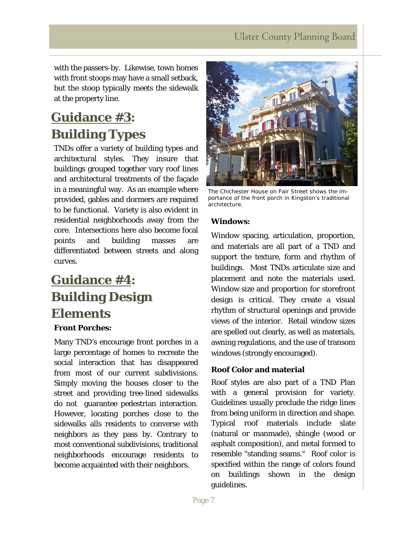with the passers-by. Likewise, town homes with front stoops may have a small setback, but the stoop typically meets the sidewalk at the property line.

## **Guidance #3: Building Types**

TNDs offer a variety of building types and architectural styles. They insure that buildings grouped together vary roof lines and architectural treatments of the façade in a meaningful way. As an example where provided, gables and dormers are required to be functional. Variety is also evident in residential neighborhoods away from the core. Intersections here also become focal points and building masses are differentiated between streets and along curves.

## **Guidance #4: Building Design Elements**

### **Front Porches:**

Many TND's encourage front porches in a large percentage of homes to recreate the social interaction that has disappeared from most of our current subdivisions. Simply moving the houses closer to the street and providing tree-lined sidewalks do not guarantee pedestrian interaction. However, locating porches close to the sidewalks alls residents to converse with neighbors as they pass by. Contrary to most conventional subdivisions, traditional neighborhoods encourage residents to become acquainted with their neighbors.



*The Chichester House on Fair Street shows the importance of the front porch in Kingston's traditional architecture*.

#### **Windows:**

Window spacing, articulation, proportion, and materials are all part of a TND and support the texture, form and rhythm of buildings. Most TNDs articulate size and placement and note the materials used. Window size and proportion for storefront design is critical. They create a visual rhythm of structural openings and provide views of the interior. Retail window sizes are spelled out clearly, as well as materials, awning regulations, and the use of transom windows (strongly encouraged).

#### **Roof Color and material**

Roof styles are also part of a TND Plan with a general provision for variety. Guidelines usually preclude the ridge lines from being uniform in direction and shape. Typical roof materials include slate (natural or manmade), shingle (wood or asphalt composition), and metal formed to resemble "standing seams." Roof color is specified within the range of colors found on buildings shown in the design guidelines.